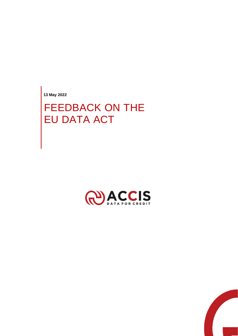**13 May 2022**

## FEEDBACK ON THE EU DATA ACT



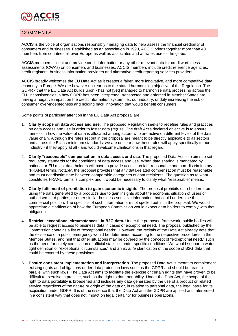

## **COMMENTS**

ACCIS is the voice of organisations responsibly managing data to help assess the financial credibility of consumers and businesses. Established as an association in 1990, ACCIS brings together more than 40 members from countries all over Europe as well as associates and affiliates across the globe.

ACCIS members collect and provide credit information or any other relevant data for creditworthiness assessments (CWAs) on consumers and businesses. ACCIS members include credit reference agencies, credit registers, business information providers and alternative credit reporting services providers.

ACCIS broadly welcomes the EU Data Act as it creates a fairer, more innovative, and more competitive data economy in Europe. We are however unclear as to the stated harmonising objective of the Regulation. The GDPR - that the EU Data Act builds upon - has not [yet] managed to harmonise data processing across the EU. Inconsistencies in how GDPR has been interpreted, transposed and enforced in Member States are having a negative impact on the credit information system i.e., our industry, unduly increasing the risk of consumer over-indebtedness and holding back innovation that would benefit consumers.

Some points of particular attention in the EU Data Act proposal are:

- 1. **Clarify scope on data access and use**. The proposed Regulation seeks to redefine rules and practices on data access and use in order to foster data (re)use. The draft Act's declared objective is to ensure fairness in how the value of data is allocated among actors who are active on different levels of the data value chain. Although the rules set out in the proposal are meant to be directly applicable to all sectors and across the EU as minimum standards, we are unclear how these rules will apply specifically to our industry - if they apply at all - and would welcome clarifications in that regard.
- 2. **Clarify "reasonable" compensation in data access and use**. The proposed Data Act also aims to set regulatory standards for the conditions of data access and use. When data sharing is mandated by national or EU rules, data holders will have to provide access on fair, reasonable and non-discriminatory (FRAND) terms. Notably, the proposal provides that any data-related compensation must be reasonable and must not discriminate between comparable categories of data recipients. The question as to what constitutes FRAND terms is complex and it would be necessary to clarify what "reasonable" means.
- 3. **Clarify fulfilment of prohibition to gain economic insights**. The proposal prohibits data holders from using the data generated by a product's use to gain insights about the economic situation of users or authorised third parties, or other similar business-sensitive information that could undermine their commercial position. The specifics of such information are not spelled out in in the proposal. We would appreciate a clarification of how the European Commission would expect data holders to comply with that obligation.
- 4. **Restrict "exceptional circumstances" in B2G data.** Under the proposed framework, public bodies will be able to request access to business data in cases of exceptional need. The proposal published by the Commission contains a list of "exceptional needs". However, the recitals of the Data Act already note that the existence of a public emergency would be determined according to the respective procedures in the Member States, and hint that other situations may be covered by the concept of "exceptional need," such as the need for timely compilation of official statistics under specific conditions. We would support a watertight definition of "exceptional circumstances" and an *ex ante* clarification of the scope of B2G data that could be covered by these provisions.
- 5. **Ensure consistent implementation and interpretation**. The proposed Data Act is meant to complement existing rights and obligations under data protection laws such as the GDPR and should be read in parallel with such laws. The Data Act aims to facilitate the exercise of certain rights that have proven to be difficult to exercise in practice, such as the right to data portability. Under the Data Act, the scope of the right to data portability is broadened and includes any data generated by the use of a product or related service regardless of the nature or origin of the data or, in relation to personal data, the legal basis for its acquisition under GDPR. It is of the essence that the Data Act and the GDPR are applied and interpreted in a consistent way that does not impact on legal certainty for business operations.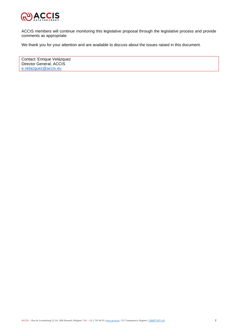

ACCIS members will continue monitoring this legislative proposal through the legislative process and provide comments as appropriate.

We thank you for your attention and are available to discuss about the issues raised in this document.

Contact: Enrique Velázquez Director General, ACCIS [e.velazquez@accis.eu](mailto:e.velazquez@accis.eu)